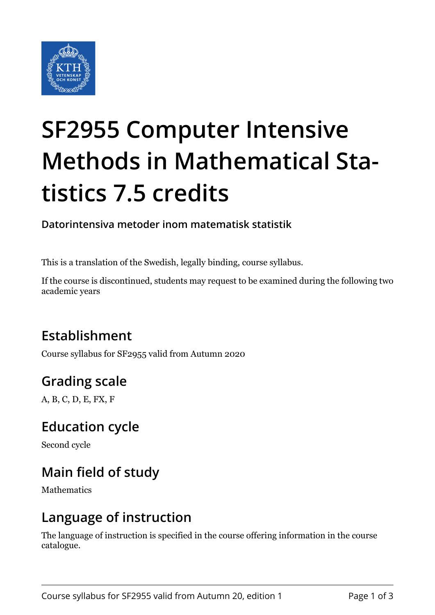

# **SF2955 Computer Intensive Methods in Mathematical Statistics 7.5 credits**

**Datorintensiva metoder inom matematisk statistik**

This is a translation of the Swedish, legally binding, course syllabus.

If the course is discontinued, students may request to be examined during the following two academic years

## **Establishment**

Course syllabus for SF2955 valid from Autumn 2020

## **Grading scale**

A, B, C, D, E, FX, F

#### **Education cycle**

Second cycle

## **Main field of study**

Mathematics

#### **Language of instruction**

The language of instruction is specified in the course offering information in the course catalogue.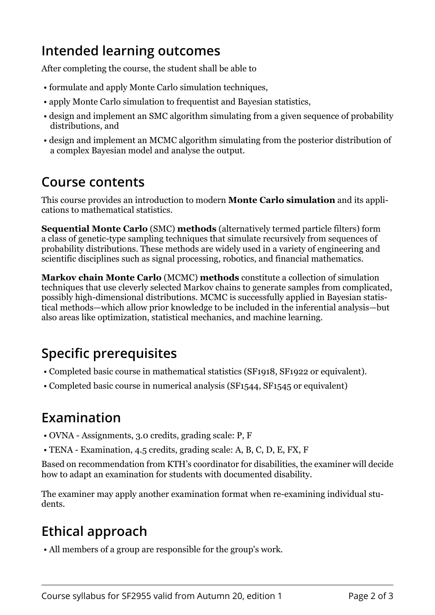#### **Intended learning outcomes**

After completing the course, the student shall be able to

- formulate and apply Monte Carlo simulation techniques,
- apply Monte Carlo simulation to frequentist and Bayesian statistics,
- design and implement an SMC algorithm simulating from a given sequence of probability distributions, and
- design and implement an MCMC algorithm simulating from the posterior distribution of a complex Bayesian model and analyse the output.

#### **Course contents**

This course provides an introduction to modern **Monte Carlo simulation** and its applications to mathematical statistics.

**Sequential Monte Carlo (SMC) methods (alternatively termed particle filters) form** a class of genetic-type sampling techniques that simulate recursively from sequences of probability distributions. These methods are widely used in a variety of engineering and scientific disciplines such as signal processing, robotics, and financial mathematics.

**Markov chain Monte Carlo (MCMC) methods** constitute a collection of simulation techniques that use cleverly selected Markov chains to generate samples from complicated, possibly high-dimensional distributions. MCMC is successfully applied in Bayesian statistical methods—which allow prior knowledge to be included in the inferential analysis—but also areas like optimization, statistical mechanics, and machine learning.

# **Specific prerequisites**

- Completed basic course in mathematical statistics (SF1918, SF1922 or equivalent).
- Completed basic course in numerical analysis (SF1544, SF1545 or equivalent)

#### **Examination**

- OVNA Assignments, 3.0 credits, grading scale: P, F
- TENA Examination, 4.5 credits, grading scale: A, B, C, D, E, FX, F

Based on recommendation from KTH's coordinator for disabilities, the examiner will decide how to adapt an examination for students with documented disability.

The examiner may apply another examination format when re-examining individual students.

# **Ethical approach**

• All members of a group are responsible for the group's work.